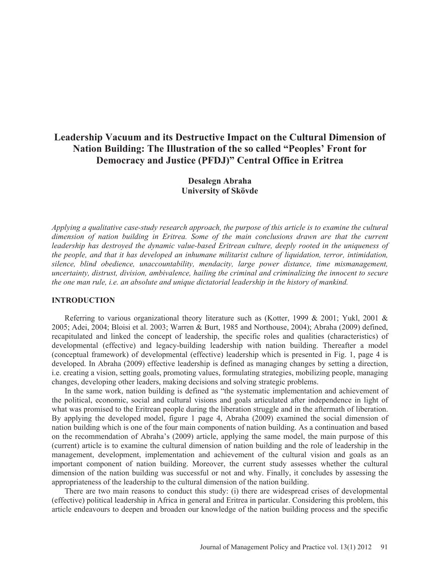# **Leadership Vacuum and its Destructive Impact on the Cultural Dimension of Nation Building: The Illustration of the so called "Peoples' Front for Democracy and Justice (PFDJ)" Central Office in Eritrea**

# **Desalegn Abraha University of Skövde**

*Applying a qualitative case-study research approach, the purpose of this article is to examine the cultural dimension of nation building in Eritrea. Some of the main conclusions drawn are that the current leadership has destroyed the dynamic value-based Eritrean culture, deeply rooted in the uniqueness of the people, and that it has developed an inhumane militarist culture of liquidation, terror, intimidation, silence, blind obedience, unaccountability, mendacity, large power distance, time mismanagement, uncertainty, distrust, division, ambivalence, hailing the criminal and criminalizing the innocent to secure the one man rule, i.e. an absolute and unique dictatorial leadership in the history of mankind.* 

# **INTRODUCTION**

Referring to various organizational theory literature such as (Kotter, 1999 & 2001; Yukl, 2001 & 2005; Adei, 2004; Bloisi et al. 2003; Warren & Burt, 1985 and Northouse, 2004); Abraha (2009) defined, recapitulated and linked the concept of leadership, the specific roles and qualities (characteristics) of developmental (effective) and legacy-building leadership with nation building. Thereafter a model (conceptual framework) of developmental (effective) leadership which is presented in Fig. 1, page 4 is developed. In Abraha (2009) effective leadership is defined as managing changes by setting a direction, i.e. creating a vision, setting goals, promoting values, formulating strategies, mobilizing people, managing changes, developing other leaders, making decisions and solving strategic problems.

In the same work, nation building is defined as "the systematic implementation and achievement of the political, economic, social and cultural visions and goals articulated after independence in light of what was promised to the Eritrean people during the liberation struggle and in the aftermath of liberation. By applying the developed model, figure 1 page 4, Abraha (2009) examined the social dimension of nation building which is one of the four main components of nation building. As a continuation and based on the recommendation of Abraha's (2009) article, applying the same model, the main purpose of this (current) article is to examine the cultural dimension of nation building and the role of leadership in the management, development, implementation and achievement of the cultural vision and goals as an important component of nation building. Moreover, the current study assesses whether the cultural dimension of the nation building was successful or not and why. Finally, it concludes by assessing the appropriateness of the leadership to the cultural dimension of the nation building.

There are two main reasons to conduct this study: (i) there are widespread crises of developmental (effective) political leadership in Africa in general and Eritrea in particular. Considering this problem, this article endeavours to deepen and broaden our knowledge of the nation building process and the specific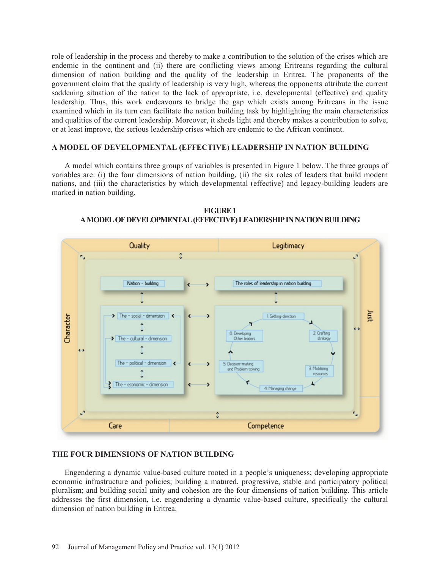role of leadership in the process and thereby to make a contribution to the solution of the crises which are endemic in the continent and (ii) there are conflicting views among Eritreans regarding the cultural dimension of nation building and the quality of the leadership in Eritrea. The proponents of the government claim that the quality of leadership is very high, whereas the opponents attribute the current saddening situation of the nation to the lack of appropriate, i.e. developmental (effective) and quality leadership. Thus, this work endeavours to bridge the gap which exists among Eritreans in the issue examined which in its turn can facilitate the nation building task by highlighting the main characteristics and qualities of the current leadership. Moreover, it sheds light and thereby makes a contribution to solve, or at least improve, the serious leadership crises which are endemic to the African continent.

### **A MODEL OF DEVELOPMENTAL (EFFECTIVE) LEADERSHIP IN NATION BUILDING**

A model which contains three groups of variables is presented in Figure 1 below. The three groups of variables are: (i) the four dimensions of nation building, (ii) the six roles of leaders that build modern nations, and (iii) the characteristics by which developmental (effective) and legacy-building leaders are marked in nation building.





# **THE FOUR DIMENSIONS OF NATION BUILDING**

Engendering a dynamic value-based culture rooted in a people's uniqueness; developing appropriate economic infrastructure and policies; building a matured, progressive, stable and participatory political pluralism; and building social unity and cohesion are the four dimensions of nation building. This article addresses the first dimension, i.e. engendering a dynamic value-based culture, specifically the cultural dimension of nation building in Eritrea.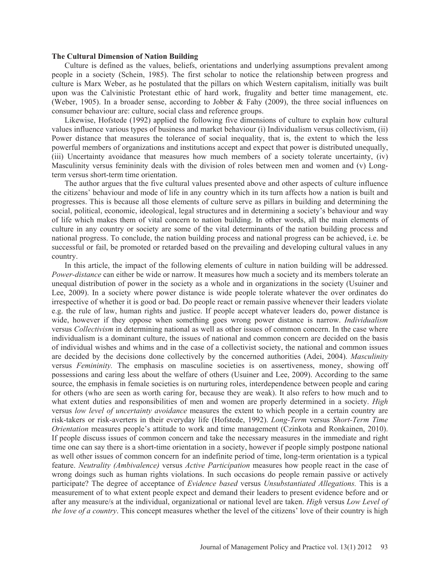#### **The Cultural Dimension of Nation Building**

Culture is defined as the values, beliefs, orientations and underlying assumptions prevalent among people in a society (Schein, 1985). The first scholar to notice the relationship between progress and culture is Marx Weber, as he postulated that the pillars on which Western capitalism, initially was built upon was the Calvinistic Protestant ethic of hard work, frugality and better time management, etc. (Weber, 1905). In a broader sense, according to Jobber & Fahy (2009), the three social influences on consumer behaviour are: culture, social class and reference groups.

Likewise, Hofstede (1992) applied the following five dimensions of culture to explain how cultural values influence various types of business and market behaviour (i) Individualism versus collectivism, (ii) Power distance that measures the tolerance of social inequality, that is, the extent to which the less powerful members of organizations and institutions accept and expect that power is distributed unequally, (iii) Uncertainty avoidance that measures how much members of a society tolerate uncertainty, (iv) Masculinity versus femininity deals with the division of roles between men and women and (v) Longterm versus short-term time orientation.

The author argues that the five cultural values presented above and other aspects of culture influence the citizens' behaviour and mode of life in any country which in its turn affects how a nation is built and progresses. This is because all those elements of culture serve as pillars in building and determining the social, political, economic, ideological, legal structures and in determining a society's behaviour and way of life which makes them of vital concern to nation building. In other words, all the main elements of culture in any country or society are some of the vital determinants of the nation building process and national progress. To conclude, the nation building process and national progress can be achieved, i.e. be successful or fail, be promoted or retarded based on the prevailing and developing cultural values in any country.

In this article, the impact of the following elements of culture in nation building will be addressed. *Power-distance* can either be wide or narrow. It measures how much a society and its members tolerate an unequal distribution of power in the society as a whole and in organizations in the society (Usuiner and Lee, 2009). In a society where power distance is wide people tolerate whatever the over ordinates do irrespective of whether it is good or bad. Do people react or remain passive whenever their leaders violate e.g. the rule of law, human rights and justice. If people accept whatever leaders do, power distance is wide, however if they oppose when something goes wrong power distance is narrow. *Individualism* versus *Collectivism* in determining national as well as other issues of common concern. In the case where individualism is a dominant culture, the issues of national and common concern are decided on the basis of individual wishes and whims and in the case of a collectivist society, the national and common issues are decided by the decisions done collectively by the concerned authorities (Adei, 2004). *Masculinity* versus *Femininity.* The emphasis on masculine societies is on assertiveness, money, showing off possessions and caring less about the welfare of others (Usuiner and Lee, 2009). According to the same source, the emphasis in female societies is on nurturing roles, interdependence between people and caring for others (who are seen as worth caring for, because they are weak). It also refers to how much and to what extent duties and responsibilities of men and women are properly determined in a society. *High* versus *low level of uncertainty avoidance* measures the extent to which people in a certain country are risk-takers or risk-averters in their everyday life (Hofstede, 1992). *Long-Term* versus *Short-Term Time Orientation* measures people's attitude to work and time management (Czinkota and Ronkainen, 2010). If people discuss issues of common concern and take the necessary measures in the immediate and right time one can say there is a short-time orientation in a society, however if people simply postpone national as well other issues of common concern for an indefinite period of time, long-term orientation is a typical feature. *Neutrality (Ambivalence)* versus *Active Participation* measures how people react in the case of wrong doings such as human rights violations. In such occasions do people remain passive or actively participate? The degree of acceptance of *Evidence based* versus *Unsubstantiated Allegations.* This is a measurement of to what extent people expect and demand their leaders to present evidence before and or after any measure/s at the individual, organizational or national level are taken. *High* versus *Low Level of the love of a country*. This concept measures whether the level of the citizens' love of their country is high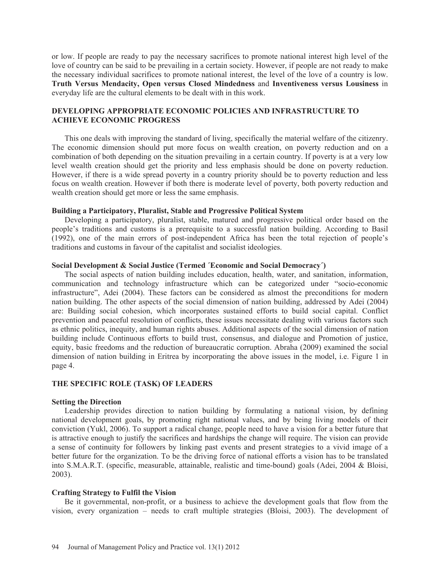or low. If people are ready to pay the necessary sacrifices to promote national interest high level of the love of country can be said to be prevailing in a certain society. However, if people are not ready to make the necessary individual sacrifices to promote national interest, the level of the love of a country is low. **Truth Versus Mendacity, Open versus Closed Mindedness** and **Inventiveness versus Lousiness** in everyday life are the cultural elements to be dealt with in this work.

# **DEVELOPING APPROPRIATE ECONOMIC POLICIES AND INFRASTRUCTURE TO ACHIEVE ECONOMIC PROGRESS**

This one deals with improving the standard of living, specifically the material welfare of the citizenry. The economic dimension should put more focus on wealth creation, on poverty reduction and on a combination of both depending on the situation prevailing in a certain country. If poverty is at a very low level wealth creation should get the priority and less emphasis should be done on poverty reduction. However, if there is a wide spread poverty in a country priority should be to poverty reduction and less focus on wealth creation. However if both there is moderate level of poverty, both poverty reduction and wealth creation should get more or less the same emphasis.

#### **Building a Participatory, Pluralist, Stable and Progressive Political System**

Developing a participatory, pluralist, stable, matured and progressive political order based on the people's traditions and customs is a prerequisite to a successful nation building. According to Basil (1992), one of the main errors of post-independent Africa has been the total rejection of people's traditions and customs in favour of the capitalist and socialist ideologies.

#### **Social Development & Social Justice (Termed ´Economic and Social Democracy´)**

The social aspects of nation building includes education, health, water, and sanitation, information, communication and technology infrastructure which can be categorized under "socio-economic infrastructure", Adei (2004). These factors can be considered as almost the preconditions for modern nation building. The other aspects of the social dimension of nation building, addressed by Adei (2004) are: Building social cohesion, which incorporates sustained efforts to build social capital. Conflict prevention and peaceful resolution of conflicts, these issues necessitate dealing with various factors such as ethnic politics, inequity, and human rights abuses. Additional aspects of the social dimension of nation building include Continuous efforts to build trust, consensus, and dialogue and Promotion of justice, equity, basic freedoms and the reduction of bureaucratic corruption. Abraha (2009) examined the social dimension of nation building in Eritrea by incorporating the above issues in the model, i.e. Figure 1 in page 4.

### **THE SPECIFIC ROLE (TASK) OF LEADERS**

#### **Setting the Direction**

Leadership provides direction to nation building by formulating a national vision, by defining national development goals, by promoting right national values, and by being living models of their conviction (Yukl, 2006). To support a radical change, people need to have a vision for a better future that is attractive enough to justify the sacrifices and hardships the change will require. The vision can provide a sense of continuity for followers by linking past events and present strategies to a vivid image of a better future for the organization. To be the driving force of national efforts a vision has to be translated into S.M.A.R.T. (specific, measurable, attainable, realistic and time-bound) goals (Adei, 2004 & Bloisi, 2003).

### **Crafting Strategy to Fulfil the Vision**

Be it governmental, non-profit, or a business to achieve the development goals that flow from the vision, every organization – needs to craft multiple strategies (Bloisi, 2003). The development of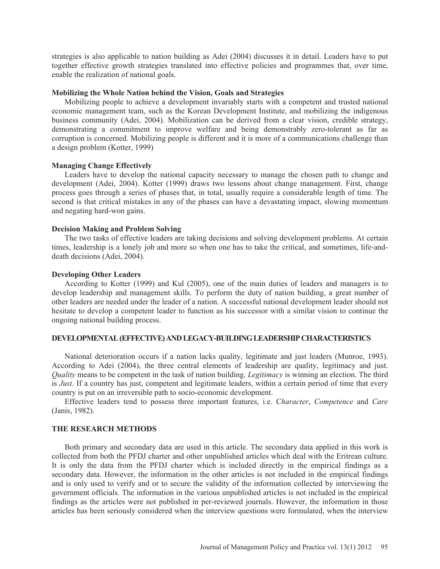strategies is also applicable to nation building as Adei (2004) discusses it in detail. Leaders have to put together effective growth strategies translated into effective policies and programmes that, over time, enable the realization of national goals.

#### **Mobilizing the Whole Nation behind the Vision, Goals and Strategies**

Mobilizing people to achieve a development invariably starts with a competent and trusted national economic management team, such as the Korean Development Institute, and mobilizing the indigenous business community (Adei, 2004). Mobilization can be derived from a clear vision, credible strategy, demonstrating a commitment to improve welfare and being demonstrably zero-tolerant as far as corruption is concerned. Mobilizing people is different and it is more of a communications challenge than a design problem (Kotter, 1999)

# **Managing Change Effectively**

Leaders have to develop the national capacity necessary to manage the chosen path to change and development (Adei, 2004). Kotter (1999) draws two lessons about change management. First, change process goes through a series of phases that, in total, usually require a considerable length of time. The second is that critical mistakes in any of the phases can have a devastating impact, slowing momentum and negating hard-won gains.

#### **Decision Making and Problem Solving**

The two tasks of effective leaders are taking decisions and solving development problems. At certain times, leadership is a lonely job and more so when one has to take the critical, and sometimes, life-anddeath decisions (Adei, 2004).

#### **Developing Other Leaders**

According to Kotter (1999) and Kul (2005), one of the main duties of leaders and managers is to develop leadership and management skills. To perform the duty of nation building, a great number of other leaders are needed under the leader of a nation. A successful national development leader should not hesitate to develop a competent leader to function as his successor with a similar vision to continue the ongoing national building process.

#### **DEVELOPMENTAL (EFFECTIVE) AND LEGACY-BUILDING LEADERSHIP CHARACTERISTICS**

National deterioration occurs if a nation lacks quality, legitimate and just leaders (Munroe, 1993). According to Adei (2004), the three central elements of leadership are quality, legitimacy and just. *Quality* means to be competent in the task of nation building. *Legitimacy* is winning an election. The third is *Just*. If a country has just, competent and legitimate leaders, within a certain period of time that every country is put on an irreversible path to socio-economic development.

Effective leaders tend to possess three important features, i.e. C*haracter*, *Competence* and *Care*  (Janis, 1982).

#### **THE RESEARCH METHODS**

Both primary and secondary data are used in this article. The secondary data applied in this work is collected from both the PFDJ charter and other unpublished articles which deal with the Eritrean culture. It is only the data from the PFDJ charter which is included directly in the empirical findings as a secondary data. However, the information in the other articles is not included in the empirical findings and is only used to verify and or to secure the validity of the information collected by interviewing the government officials. The information in the various unpublished articles is not included in the empirical findings as the articles were not published in per-reviewed journals. However, the information in those articles has been seriously considered when the interview questions were formulated, when the interview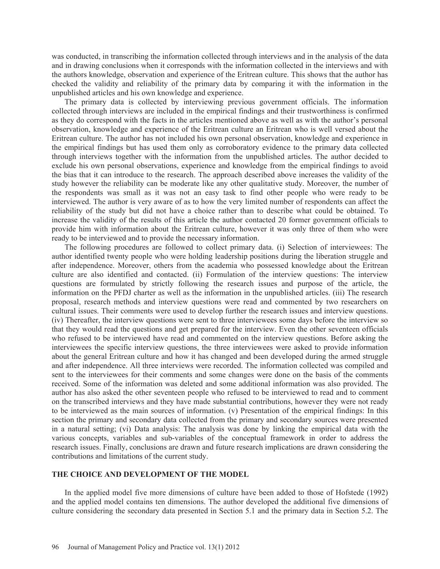was conducted, in transcribing the information collected through interviews and in the analysis of the data and in drawing conclusions when it corresponds with the information collected in the interviews and with the authors knowledge, observation and experience of the Eritrean culture. This shows that the author has checked the validity and reliability of the primary data by comparing it with the information in the unpublished articles and his own knowledge and experience.

The primary data is collected by interviewing previous government officials. The information collected through interviews are included in the empirical findings and their trustworthiness is confirmed as they do correspond with the facts in the articles mentioned above as well as with the author's personal observation, knowledge and experience of the Eritrean culture an Eritrean who is well versed about the Eritrean culture. The author has not included his own personal observation, knowledge and experience in the empirical findings but has used them only as corroboratory evidence to the primary data collected through interviews together with the information from the unpublished articles. The author decided to exclude his own personal observations, experience and knowledge from the empirical findings to avoid the bias that it can introduce to the research. The approach described above increases the validity of the study however the reliability can be moderate like any other qualitative study. Moreover, the number of the respondents was small as it was not an easy task to find other people who were ready to be interviewed. The author is very aware of as to how the very limited number of respondents can affect the reliability of the study but did not have a choice rather than to describe what could be obtained. To increase the validity of the results of this article the author contacted 20 former government officials to provide him with information about the Eritrean culture, however it was only three of them who were ready to be interviewed and to provide the necessary information.

The following procedures are followed to collect primary data. (i) Selection of interviewees: The author identified twenty people who were holding leadership positions during the liberation struggle and after independence. Moreover, others from the academia who possessed knowledge about the Eritrean culture are also identified and contacted. (ii) Formulation of the interview questions: The interview questions are formulated by strictly following the research issues and purpose of the article, the information on the PFDJ charter as well as the information in the unpublished articles. (iii) The research proposal, research methods and interview questions were read and commented by two researchers on cultural issues. Their comments were used to develop further the research issues and interview questions. (iv) Thereafter, the interview questions were sent to three interviewees some days before the interview so that they would read the questions and get prepared for the interview. Even the other seventeen officials who refused to be interviewed have read and commented on the interview questions. Before asking the interviewees the specific interview questions, the three interviewees were asked to provide information about the general Eritrean culture and how it has changed and been developed during the armed struggle and after independence. All three interviews were recorded. The information collected was compiled and sent to the interviewees for their comments and some changes were done on the basis of the comments received. Some of the information was deleted and some additional information was also provided. The author has also asked the other seventeen people who refused to be interviewed to read and to comment on the transcribed interviews and they have made substantial contributions, however they were not ready to be interviewed as the main sources of information. (v) Presentation of the empirical findings: In this section the primary and secondary data collected from the primary and secondary sources were presented in a natural setting; (vi) Data analysis: The analysis was done by linking the empirical data with the various concepts, variables and sub-variables of the conceptual framework in order to address the research issues. Finally, conclusions are drawn and future research implications are drawn considering the contributions and limitations of the current study.

#### **THE CHOICE AND DEVELOPMENT OF THE MODEL**

In the applied model five more dimensions of culture have been added to those of Hofstede (1992) and the applied model contains ten dimensions. The author developed the additional five dimensions of culture considering the secondary data presented in Section 5.1 and the primary data in Section 5.2. The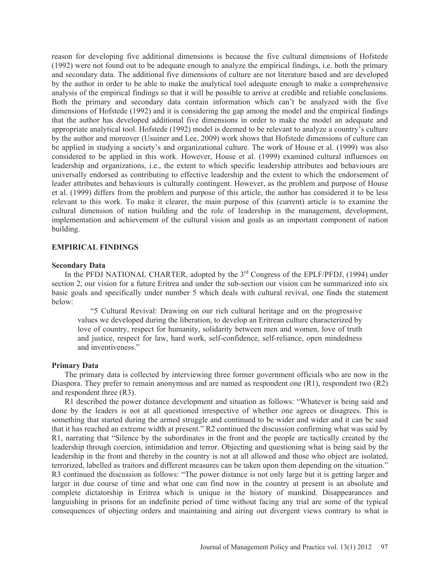reason for developing five additional dimensions is because the five cultural dimensions of Hofstede (1992) were not found out to be adequate enough to analyze the empirical findings, i.e. both the primary and secondary data. The additional five dimensions of culture are not literature based and are developed by the author in order to be able to make the analytical tool adequate enough to make a comprehensive analysis of the empirical findings so that it will be possible to arrive at credible and reliable conclusions. Both the primary and secondary data contain information which can't be analyzed with the five dimensions of Hofstede (1992) and it is considering the gap among the model and the empirical findings that the author has developed additional five dimensions in order to make the model an adequate and appropriate analytical tool. Hofstede (1992) model is deemed to be relevant to analyze a country's culture by the author and moreover (Usuiner and Lee, 2009) work shows that Hofstede dimensions of culture can be applied in studying a society's and organizational culture. The work of House et al. (1999) was also considered to be applied in this work. However, House et al. (1999) examined cultural influences on leadership and organizations, i.e., the extent to which specific leadership attributes and behaviours are universally endorsed as contributing to effective leadership and the extent to which the endorsement of leader attributes and behaviours is culturally contingent. However, as the problem and purpose of House et al. (1999) differs from the problem and purpose of this article, the author has considered it to be less relevant to this work. To make it clearer, the main purpose of this (current) article is to examine the cultural dimension of nation building and the role of leadership in the management, development, implementation and achievement of the cultural vision and goals as an important component of nation building.

#### **EMPIRICAL FINDINGS**

#### **Secondary Data**

In the PFDJ NATIONAL CHARTER, adopted by the  $3<sup>rd</sup>$  Congress of the EPLF/PFDJ, (1994) under section 2, our vision for a future Eritrea and under the sub-section our vision can be summarized into six basic goals and specifically under number 5 which deals with cultural revival, one finds the statement below:

"5 Cultural Revival: Drawing on our rich cultural heritage and on the progressive values we developed during the liberation, to develop an Eritrean culture characterized by love of country, respect for humanity, solidarity between men and women, love of truth and justice, respect for law, hard work, self-confidence, self-reliance, open mindedness and inventiveness."

#### **Primary Data**

The primary data is collected by interviewing three former government officials who are now in the Diaspora. They prefer to remain anonymous and are named as respondent one (R1), respondent two (R2) and respondent three (R3).

R1 described the power distance development and situation as follows: "Whatever is being said and done by the leaders is not at all questioned irrespective of whether one agrees or disagrees. This is something that started during the armed struggle and continued to be wider and wider and it can be said that it has reached an extreme width at present." R2 continued the discussion confirming what was said by R1, narrating that "Silence by the subordinates in the front and the people are tactically created by the leadership through coercion, intimidation and terror. Objecting and questioning what is being said by the leadership in the front and thereby in the country is not at all allowed and those who object are isolated, terrorized, labelled as traitors and different measures can be taken upon them depending on the situation." R3 continued the discussion as follows: "The power distance is not only large but it is getting larger and larger in due course of time and what one can find now in the country at present is an absolute and complete dictatorship in Eritrea which is unique in the history of mankind. Disappearances and languishing in prisons for an indefinite period of time without facing any trial are some of the typical consequences of objecting orders and maintaining and airing out divergent views contrary to what is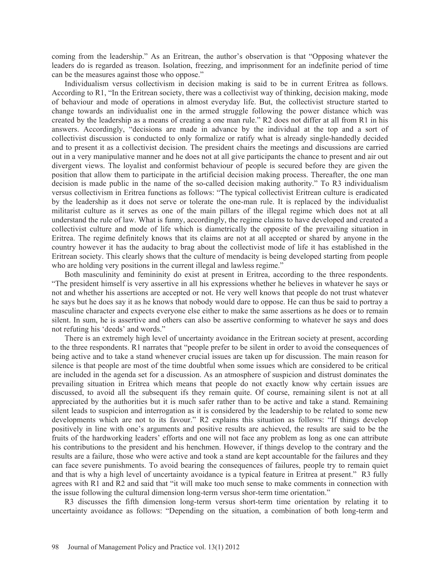coming from the leadership." As an Eritrean, the author's observation is that "Opposing whatever the leaders do is regarded as treason. Isolation, freezing, and imprisonment for an indefinite period of time can be the measures against those who oppose."

Individualism versus collectivism in decision making is said to be in current Eritrea as follows. According to R1, "In the Eritrean society, there was a collectivist way of thinking, decision making, mode of behaviour and mode of operations in almost everyday life. But, the collectivist structure started to change towards an individualist one in the armed struggle following the power distance which was created by the leadership as a means of creating a one man rule." R2 does not differ at all from R1 in his answers. Accordingly, "decisions are made in advance by the individual at the top and a sort of collectivist discussion is conducted to only formalize or ratify what is already single-handedly decided and to present it as a collectivist decision. The president chairs the meetings and discussions are carried out in a very manipulative manner and he does not at all give participants the chance to present and air out divergent views. The loyalist and conformist behaviour of people is secured before they are given the position that allow them to participate in the artificial decision making process. Thereafter, the one man decision is made public in the name of the so-called decision making authority." To R3 individualism versus collectivism in Eritrea functions as follows: "The typical collectivist Eritrean culture is eradicated by the leadership as it does not serve or tolerate the one-man rule. It is replaced by the individualist militarist culture as it serves as one of the main pillars of the illegal regime which does not at all understand the rule of law. What is funny, accordingly, the regime claims to have developed and created a collectivist culture and mode of life which is diametrically the opposite of the prevailing situation in Eritrea. The regime definitely knows that its claims are not at all accepted or shared by anyone in the country however it has the audacity to brag about the collectivist mode of life it has established in the Eritrean society. This clearly shows that the culture of mendacity is being developed starting from people who are holding very positions in the current illegal and lawless regime."

Both masculinity and femininity do exist at present in Eritrea, according to the three respondents. "The president himself is very assertive in all his expressions whether he believes in whatever he says or not and whether his assertions are accepted or not. He very well knows that people do not trust whatever he says but he does say it as he knows that nobody would dare to oppose. He can thus be said to portray a masculine character and expects everyone else either to make the same assertions as he does or to remain silent. In sum, he is assertive and others can also be assertive conforming to whatever he says and does not refuting his 'deeds' and words."

There is an extremely high level of uncertainty avoidance in the Eritrean society at present, according to the three respondents. R1 narrates that "people prefer to be silent in order to avoid the consequences of being active and to take a stand whenever crucial issues are taken up for discussion. The main reason for silence is that people are most of the time doubtful when some issues which are considered to be critical are included in the agenda set for a discussion. As an atmosphere of suspicion and distrust dominates the prevailing situation in Eritrea which means that people do not exactly know why certain issues are discussed, to avoid all the subsequent ifs they remain quite. Of course, remaining silent is not at all appreciated by the authorities but it is much safer rather than to be active and take a stand. Remaining silent leads to suspicion and interrogation as it is considered by the leadership to be related to some new developments which are not to its favour." R2 explains this situation as follows: "If things develop positively in line with one's arguments and positive results are achieved, the results are said to be the fruits of the hardworking leaders' efforts and one will not face any problem as long as one can attribute his contributions to the president and his henchmen. However, if things develop to the contrary and the results are a failure, those who were active and took a stand are kept accountable for the failures and they can face severe punishments. To avoid bearing the consequences of failures, people try to remain quiet and that is why a high level of uncertainty avoidance is a typical feature in Eritrea at present." R3 fully agrees with R1 and R2 and said that "it will make too much sense to make comments in connection with the issue following the cultural dimension long-term versus shor-term time orientation."

R3 discusses the fifth dimension long-term versus short-term time orientation by relating it to uncertainty avoidance as follows: "Depending on the situation, a combination of both long-term and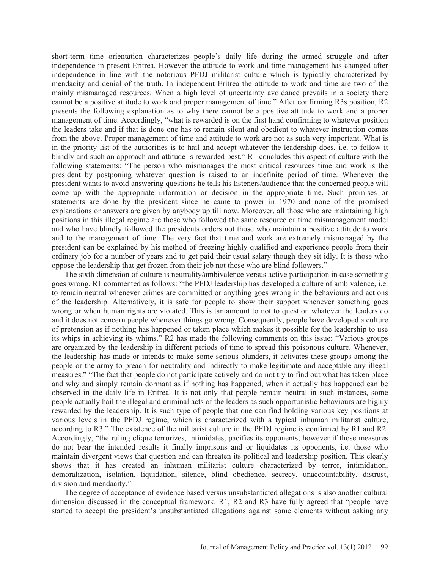short-term time orientation characterizes people's daily life during the armed struggle and after independence in present Eritrea. However the attitude to work and time management has changed after independence in line with the notorious PFDJ militarist culture which is typically characterized by mendacity and denial of the truth. In independent Eritrea the attitude to work and time are two of the mainly mismanaged resources. When a high level of uncertainty avoidance prevails in a society there cannot be a positive attitude to work and proper management of time." After confirming R3s position, R2 presents the following explanation as to why there cannot be a positive attitude to work and a proper management of time. Accordingly, "what is rewarded is on the first hand confirming to whatever position the leaders take and if that is done one has to remain silent and obedient to whatever instruction comes from the above. Proper management of time and attitude to work are not as such very important. What is in the priority list of the authorities is to hail and accept whatever the leadership does, i.e. to follow it blindly and such an approach and attitude is rewarded best." R1 concludes this aspect of culture with the following statements: "The person who mismanages the most critical resources time and work is the president by postponing whatever question is raised to an indefinite period of time. Whenever the president wants to avoid answering questions he tells his listeners/audience that the concerned people will come up with the appropriate information or decision in the appropriate time. Such promises or statements are done by the president since he came to power in 1970 and none of the promised explanations or answers are given by anybody up till now. Moreover, all those who are maintaining high positions in this illegal regime are those who followed the same resource or time mismanagement model and who have blindly followed the presidents orders not those who maintain a positive attitude to work and to the management of time. The very fact that time and work are extremely mismanaged by the president can be explained by his method of freezing highly qualified and experience people from their ordinary job for a number of years and to get paid their usual salary though they sit idly. It is those who oppose the leadership that get frozen from their job not those who are blind followers."

The sixth dimension of culture is neutrality/ambivalence versus active participation in case something goes wrong. R1 commented as follows: "the PFDJ leadership has developed a culture of ambivalence, i.e. to remain neutral whenever crimes are committed or anything goes wrong in the behaviours and actions of the leadership. Alternatively, it is safe for people to show their support whenever something goes wrong or when human rights are violated. This is tantamount to not to question whatever the leaders do and it does not concern people whenever things go wrong. Consequently, people have developed a culture of pretension as if nothing has happened or taken place which makes it possible for the leadership to use its whips in achieving its whims." R2 has made the following comments on this issue: "Various groups are organized by the leadership in different periods of time to spread this poisonous culture. Whenever, the leadership has made or intends to make some serious blunders, it activates these groups among the people or the army to preach for neutrality and indirectly to make legitimate and acceptable any illegal measures." "The fact that people do not participate actively and do not try to find out what has taken place and why and simply remain dormant as if nothing has happened, when it actually has happened can be observed in the daily life in Eritrea. It is not only that people remain neutral in such instances, some people actually hail the illegal and criminal acts of the leaders as such opportunistic behaviours are highly rewarded by the leadership. It is such type of people that one can find holding various key positions at various levels in the PFDJ regime, which is characterized with a typical inhuman militarist culture, according to R3." The existence of the militarist culture in the PFDJ regime is confirmed by R1 and R2. Accordingly, "the ruling clique terrorizes, intimidates, pacifies its opponents, however if those measures do not bear the intended results it finally imprisons and or liquidates its opponents, i.e. those who maintain divergent views that question and can threaten its political and leadership position. This clearly shows that it has created an inhuman militarist culture characterized by terror, intimidation, demoralization, isolation, liquidation, silence, blind obedience, secrecy, unaccountability, distrust, division and mendacity."

The degree of acceptance of evidence based versus unsubstantiated allegations is also another cultural dimension discussed in the conceptual framework. R1, R2 and R3 have fully agreed that "people have started to accept the president's unsubstantiated allegations against some elements without asking any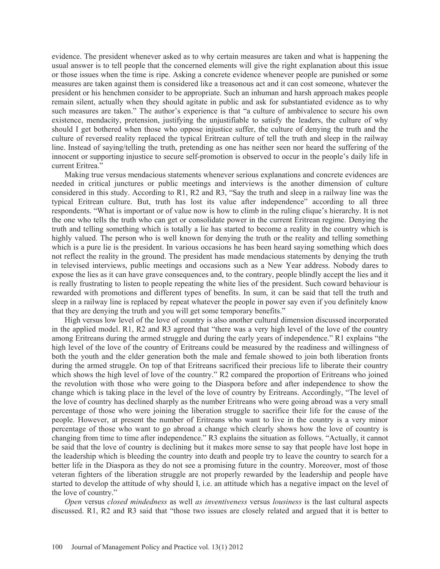evidence. The president whenever asked as to why certain measures are taken and what is happening the usual answer is to tell people that the concerned elements will give the right explanation about this issue or those issues when the time is ripe. Asking a concrete evidence whenever people are punished or some measures are taken against them is considered like a treasonous act and it can cost someone, whatever the president or his henchmen consider to be appropriate. Such an inhuman and harsh approach makes people remain silent, actually when they should agitate in public and ask for substantiated evidence as to why such measures are taken." The author's experience is that "a culture of ambivalence to secure his own existence, mendacity, pretension, justifying the unjustifiable to satisfy the leaders, the culture of why should I get bothered when those who oppose injustice suffer, the culture of denying the truth and the culture of reversed reality replaced the typical Eritrean culture of tell the truth and sleep in the railway line. Instead of saying/telling the truth, pretending as one has neither seen nor heard the suffering of the innocent or supporting injustice to secure self-promotion is observed to occur in the people's daily life in current Eritrea<sup>"</sup>

Making true versus mendacious statements whenever serious explanations and concrete evidences are needed in critical junctures or public meetings and interviews is the another dimension of culture considered in this study. According to R1, R2 and R3, "Say the truth and sleep in a railway line was the typical Eritrean culture. But, truth has lost its value after independence" according to all three respondents. "What is important or of value now is how to climb in the ruling clique's hierarchy. It is not the one who tells the truth who can get or consolidate power in the current Eritrean regime. Denying the truth and telling something which is totally a lie has started to become a reality in the country which is highly valued. The person who is well known for denying the truth or the reality and telling something which is a pure lie is the president. In various occasions he has been heard saying something which does not reflect the reality in the ground. The president has made mendacious statements by denying the truth in televised interviews, public meetings and occasions such as a New Year address. Nobody dares to expose the lies as it can have grave consequences and, to the contrary, people blindly accept the lies and it is really frustrating to listen to people repeating the white lies of the president. Such coward behaviour is rewarded with promotions and different types of benefits. In sum, it can be said that tell the truth and sleep in a railway line is replaced by repeat whatever the people in power say even if you definitely know that they are denying the truth and you will get some temporary benefits."

High versus low level of the love of country is also another cultural dimension discussed incorporated in the applied model. R1, R2 and R3 agreed that "there was a very high level of the love of the country among Eritreans during the armed struggle and during the early years of independence." R1 explains "the high level of the love of the country of Eritreans could be measured by the readiness and willingness of both the youth and the elder generation both the male and female showed to join both liberation fronts during the armed struggle. On top of that Eritreans sacrificed their precious life to liberate their country which shows the high level of love of the country." R2 compared the proportion of Eritreans who joined the revolution with those who were going to the Diaspora before and after independence to show the change which is taking place in the level of the love of country by Eritreans. Accordingly, "The level of the love of country has declined sharply as the number Eritreans who were going abroad was a very small percentage of those who were joining the liberation struggle to sacrifice their life for the cause of the people. However, at present the number of Eritreans who want to live in the country is a very minor percentage of those who want to go abroad a change which clearly shows how the love of country is changing from time to time after independence." R3 explains the situation as follows. "Actually, it cannot be said that the love of country is declining but it makes more sense to say that people have lost hope in the leadership which is bleeding the country into death and people try to leave the country to search for a better life in the Diaspora as they do not see a promising future in the country. Moreover, most of those veteran fighters of the liberation struggle are not properly rewarded by the leadership and people have started to develop the attitude of why should I, i.e. an attitude which has a negative impact on the level of the love of country."

*Open* versus *closed mindedness* as well *as inventiveness* versus *lousiness* is the last cultural aspects discussed. R1, R2 and R3 said that "those two issues are closely related and argued that it is better to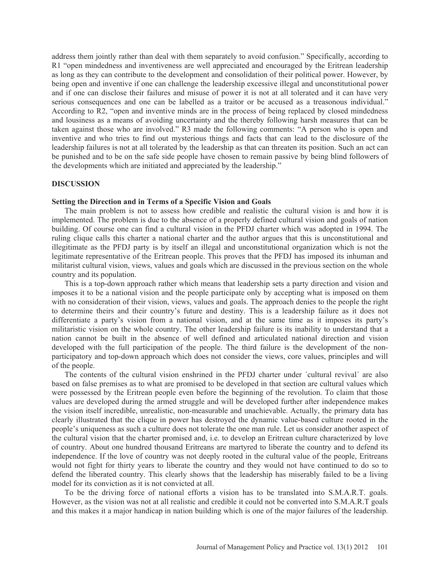address them jointly rather than deal with them separately to avoid confusion." Specifically, according to R1 "open mindedness and inventiveness are well appreciated and encouraged by the Eritrean leadership as long as they can contribute to the development and consolidation of their political power. However, by being open and inventive if one can challenge the leadership excessive illegal and unconstitutional power and if one can disclose their failures and misuse of power it is not at all tolerated and it can have very serious consequences and one can be labelled as a traitor or be accused as a treasonous individual." According to R2, "open and inventive minds are in the process of being replaced by closed mindedness and lousiness as a means of avoiding uncertainty and the thereby following harsh measures that can be taken against those who are involved." R3 made the following comments: "A person who is open and inventive and who tries to find out mysterious things and facts that can lead to the disclosure of the leadership failures is not at all tolerated by the leadership as that can threaten its position. Such an act can be punished and to be on the safe side people have chosen to remain passive by being blind followers of the developments which are initiated and appreciated by the leadership."

#### **DISCUSSION**

# **Setting the Direction and in Terms of a Specific Vision and Goals**

The main problem is not to assess how credible and realistic the cultural vision is and how it is implemented. The problem is due to the absence of a properly defined cultural vision and goals of nation building. Of course one can find a cultural vision in the PFDJ charter which was adopted in 1994. The ruling clique calls this charter a national charter and the author argues that this is unconstitutional and illegitimate as the PFDJ party is by itself an illegal and unconstitutional organization which is not the legitimate representative of the Eritrean people. This proves that the PFDJ has imposed its inhuman and militarist cultural vision, views, values and goals which are discussed in the previous section on the whole country and its population.

This is a top-down approach rather which means that leadership sets a party direction and vision and imposes it to be a national vision and the people participate only by accepting what is imposed on them with no consideration of their vision, views, values and goals. The approach denies to the people the right to determine theirs and their country's future and destiny. This is a leadership failure as it does not differentiate a party's vision from a national vision, and at the same time as it imposes its party's militaristic vision on the whole country. The other leadership failure is its inability to understand that a nation cannot be built in the absence of well defined and articulated national direction and vision developed with the full participation of the people. The third failure is the development of the nonparticipatory and top-down approach which does not consider the views, core values, principles and will of the people.

The contents of the cultural vision enshrined in the PFDJ charter under ´cultural revival´ are also based on false premises as to what are promised to be developed in that section are cultural values which were possessed by the Eritrean people even before the beginning of the revolution. To claim that those values are developed during the armed struggle and will be developed further after independence makes the vision itself incredible, unrealistic, non-measurable and unachievable. Actually, the primary data has clearly illustrated that the clique in power has destroyed the dynamic value-based culture rooted in the people's uniqueness as such a culture does not tolerate the one man rule. Let us consider another aspect of the cultural vision that the charter promised and, i.e. to develop an Eritrean culture characterized by love of country. About one hundred thousand Eritreans are martyred to liberate the country and to defend its independence. If the love of country was not deeply rooted in the cultural value of the people, Eritreans would not fight for thirty years to liberate the country and they would not have continued to do so to defend the liberated country. This clearly shows that the leadership has miserably failed to be a living model for its conviction as it is not convicted at all.

To be the driving force of national efforts a vision has to be translated into S.M.A.R.T. goals. However, as the vision was not at all realistic and credible it could not be converted into S.M.A.R.T goals and this makes it a major handicap in nation building which is one of the major failures of the leadership.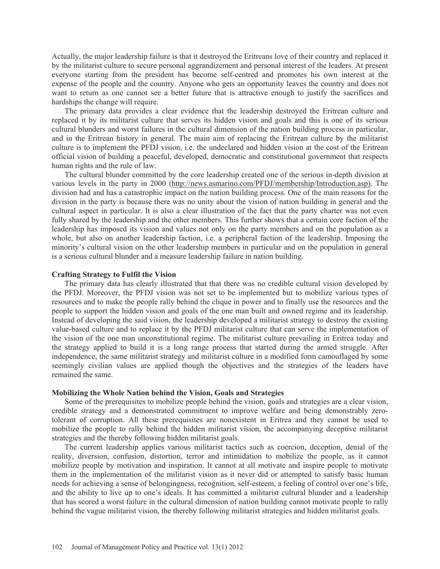Actually, the major leadership failure is that it destroyed the Eritreans love of their country and replaced it by the militarist culture to secure personal aggrandizement and personal interest of the leaders. At present everyone starting from the president has become self-centred and promotes his own interest at the expense of the people and the country. Anyone who gets an opportunity leaves the country and does not want to return as one cannot see a better future that is attractive enough to justify the sacrifices and hardships the change will require.

The primary data provides a clear evidence that the leadership destroyed the Eritrean culture and replaced it by its militarist culture that serves its hidden vision and goals and this is one of its serious cultural blunders and worst failures in the cultural dimension of the nation building process in particular, and in the Eritrean history in general. The main aim of replacing the Eritrean culture by the militarist culture is to implement the PFDJ vision, i.e. the undeclared and hidden vision at the cost of the Eritrean official vision of building a peaceful, developed, democratic and constitutional government that respects human rights and the rule of law.

The cultural blunder committed by the core leadership created one of the serious in-depth division at various levels in the party in 2000 (http://news.asmarino.com/PFDJ/membership/Introduction.asp). The division had and has a catastrophic impact on the nation building process. One of the main reasons for the division in the party is because there was no unity about the vision of nation building in general and the cultural aspect in particular. It is also a clear illustration of the fact that the party charter was not even fully shared by the leadership and the other members. This further shows that a certain core faction of the leadership has imposed its vision and values not only on the party members and on the population as a whole, but also on another leadership faction, i.e. a peripheral faction of the leadership. Imposing the minority's cultural vision on the other leadership members in particular and on the population in general is a serious cultural blunder and a measure leadership failure in nation building.

#### **Crafting Strategy to Fulfil the Vision**

The primary data has clearly illustrated that that there was no credible cultural vision developed by the PFDJ. Moreover, the PFDJ vision was not set to be implemented but to mobilize various types of resources and to make the people rally behind the clique in power and to finally use the resources and the people to support the hidden vision and goals of the one man built and owned regime and its leadership. Instead of developing the said vision, the leadership developed a militarist strategy to destroy the existing value-based culture and to replace it by the PFDJ militarist culture that can serve the implementation of the vision of the one man unconstitutional regime. The militarist culture prevailing in Eritrea today and the strategy applied to build it is a long range process that started during the armed struggle. After independence, the same militarist strategy and militarist culture in a modified form camouflaged by some seemingly civilian values are applied though the objectives and the strategies of the leaders have remained the same.

#### **Mobilizing the Whole Nation behind the Vision, Goals and Strategies**

Some of the prerequisites to mobilize people behind the vision, goals and strategies are a clear vision, credible strategy and a demonstrated commitment to improve welfare and being demonstrably zerotolerant of corruption. All these prerequisites are nonexistent in Eritrea and they cannot be used to mobilize the people to rally behind the hidden militarist vision, the accompanying deceptive militarist strategies and the thereby following hidden militarist goals.

The current leadership applies various militarist tactics such as coercion, deception, denial of the reality, diversion, confusion, distortion, terror and intimidation to mobilize the people, as it cannot mobilize people by motivation and inspiration. It cannot at all motivate and inspire people to motivate them in the implementation of the militarist vision as it never did or attempted to satisfy basic human needs for achieving a sense of belongingness, recognition, self-esteem, a feeling of control over one's life, and the ability to live up to one's ideals. It has committed a militarist cultural blunder and a leadership that has scored a worst failure in the cultural dimension of nation building cannot motivate people to rally behind the vague militarist vision, the thereby following militarist strategies and hidden militarist goals.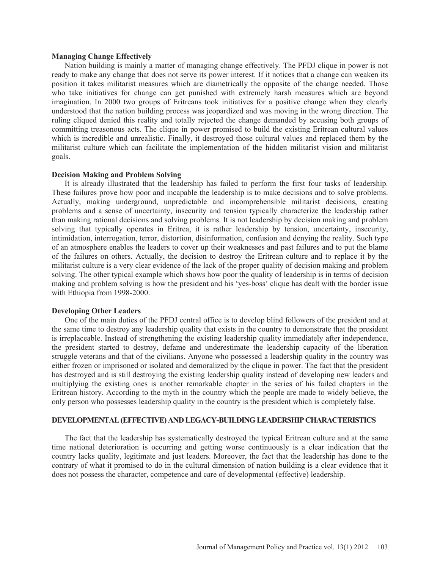#### **Managing Change Effectively**

Nation building is mainly a matter of managing change effectively. The PFDJ clique in power is not ready to make any change that does not serve its power interest. If it notices that a change can weaken its position it takes militarist measures which are diametrically the opposite of the change needed. Those who take initiatives for change can get punished with extremely harsh measures which are beyond imagination. In 2000 two groups of Eritreans took initiatives for a positive change when they clearly understood that the nation building process was jeopardized and was moving in the wrong direction. The ruling cliqued denied this reality and totally rejected the change demanded by accusing both groups of committing treasonous acts. The clique in power promised to build the existing Eritrean cultural values which is incredible and unrealistic. Finally, it destroyed those cultural values and replaced them by the militarist culture which can facilitate the implementation of the hidden militarist vision and militarist goals.

#### **Decision Making and Problem Solving**

It is already illustrated that the leadership has failed to perform the first four tasks of leadership. These failures prove how poor and incapable the leadership is to make decisions and to solve problems. Actually, making underground, unpredictable and incomprehensible militarist decisions, creating problems and a sense of uncertainty, insecurity and tension typically characterize the leadership rather than making rational decisions and solving problems. It is not leadership by decision making and problem solving that typically operates in Eritrea, it is rather leadership by tension, uncertainty, insecurity, intimidation, interrogation, terror, distortion, disinformation, confusion and denying the reality. Such type of an atmosphere enables the leaders to cover up their weaknesses and past failures and to put the blame of the failures on others. Actually, the decision to destroy the Eritrean culture and to replace it by the militarist culture is a very clear evidence of the lack of the proper quality of decision making and problem solving. The other typical example which shows how poor the quality of leadership is in terms of decision making and problem solving is how the president and his 'yes-boss' clique has dealt with the border issue with Ethiopia from 1998-2000.

### **Developing Other Leaders**

One of the main duties of the PFDJ central office is to develop blind followers of the president and at the same time to destroy any leadership quality that exists in the country to demonstrate that the president is irreplaceable. Instead of strengthening the existing leadership quality immediately after independence, the president started to destroy, defame and underestimate the leadership capacity of the liberation struggle veterans and that of the civilians. Anyone who possessed a leadership quality in the country was either frozen or imprisoned or isolated and demoralized by the clique in power. The fact that the president has destroyed and is still destroying the existing leadership quality instead of developing new leaders and multiplying the existing ones is another remarkable chapter in the series of his failed chapters in the Eritrean history. According to the myth in the country which the people are made to widely believe, the only person who possesses leadership quality in the country is the president which is completely false.

### **DEVELOPMENTAL (EFFECTIVE) AND LEGACY-BUILDING LEADERSHIP CHARACTERISTICS**

The fact that the leadership has systematically destroyed the typical Eritrean culture and at the same time national deterioration is occurring and getting worse continuously is a clear indication that the country lacks quality, legitimate and just leaders. Moreover, the fact that the leadership has done to the contrary of what it promised to do in the cultural dimension of nation building is a clear evidence that it does not possess the character, competence and care of developmental (effective) leadership.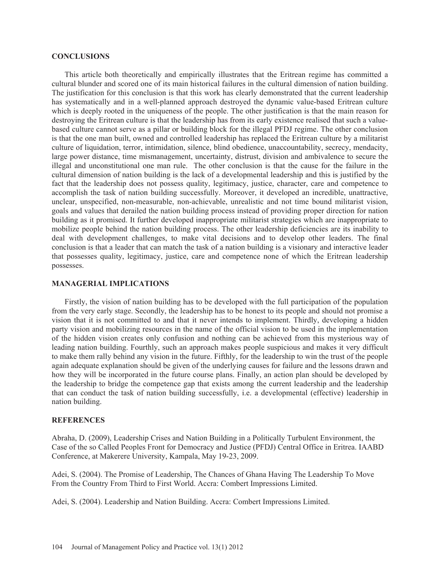#### **CONCLUSIONS**

This article both theoretically and empirically illustrates that the Eritrean regime has committed a cultural blunder and scored one of its main historical failures in the cultural dimension of nation building. The justification for this conclusion is that this work has clearly demonstrated that the current leadership has systematically and in a well-planned approach destroyed the dynamic value-based Eritrean culture which is deeply rooted in the uniqueness of the people. The other justification is that the main reason for destroying the Eritrean culture is that the leadership has from its early existence realised that such a valuebased culture cannot serve as a pillar or building block for the illegal PFDJ regime. The other conclusion is that the one man built, owned and controlled leadership has replaced the Eritrean culture by a militarist culture of liquidation, terror, intimidation, silence, blind obedience, unaccountability, secrecy, mendacity, large power distance, time mismanagement, uncertainty, distrust, division and ambivalence to secure the illegal and unconstitutional one man rule. The other conclusion is that the cause for the failure in the cultural dimension of nation building is the lack of a developmental leadership and this is justified by the fact that the leadership does not possess quality, legitimacy, justice, character, care and competence to accomplish the task of nation building successfully. Moreover, it developed an incredible, unattractive, unclear, unspecified, non-measurable, non-achievable, unrealistic and not time bound militarist vision, goals and values that derailed the nation building process instead of providing proper direction for nation building as it promised. It further developed inappropriate militarist strategies which are inappropriate to mobilize people behind the nation building process. The other leadership deficiencies are its inability to deal with development challenges, to make vital decisions and to develop other leaders. The final conclusion is that a leader that can match the task of a nation building is a visionary and interactive leader that possesses quality, legitimacy, justice, care and competence none of which the Eritrean leadership possesses.

#### **MANAGERIAL IMPLICATIONS**

Firstly, the vision of nation building has to be developed with the full participation of the population from the very early stage. Secondly, the leadership has to be honest to its people and should not promise a vision that it is not committed to and that it never intends to implement. Thirdly, developing a hidden party vision and mobilizing resources in the name of the official vision to be used in the implementation of the hidden vision creates only confusion and nothing can be achieved from this mysterious way of leading nation building. Fourthly, such an approach makes people suspicious and makes it very difficult to make them rally behind any vision in the future. Fifthly, for the leadership to win the trust of the people again adequate explanation should be given of the underlying causes for failure and the lessons drawn and how they will be incorporated in the future course plans. Finally, an action plan should be developed by the leadership to bridge the competence gap that exists among the current leadership and the leadership that can conduct the task of nation building successfully, i.e. a developmental (effective) leadership in nation building.

# **REFERENCES**

Abraha, D. (2009), Leadership Crises and Nation Building in a Politically Turbulent Environment, the Case of the so Called Peoples Front for Democracy and Justice (PFDJ) Central Office in Eritrea. IAABD Conference, at Makerere University, Kampala, May 19-23, 2009.

Adei, S. (2004). The Promise of Leadership, The Chances of Ghana Having The Leadership To Move From the Country From Third to First World. Accra: Combert Impressions Limited.

Adei, S. (2004). Leadership and Nation Building. Accra: Combert Impressions Limited.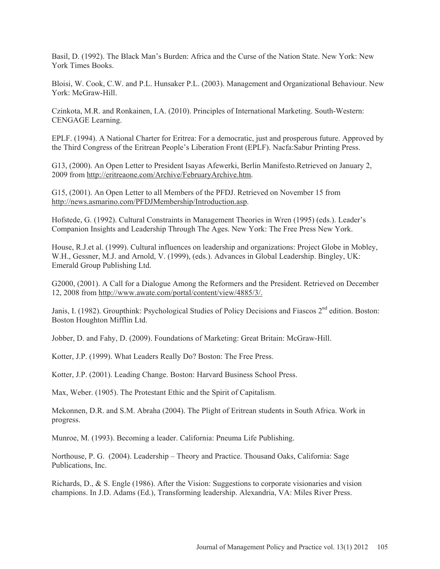Basil, D. (1992). The Black Man's Burden: Africa and the Curse of the Nation State. New York: New York Times Books.

Bloisi, W. Cook, C.W. and P.L. Hunsaker P.L. (2003). Management and Organizational Behaviour. New York: McGraw-Hill.

Czinkota, M.R. and Ronkainen, I.A. (2010). Principles of International Marketing. South-Western: CENGAGE Learning.

EPLF. (1994). A National Charter for Eritrea: For a democratic, just and prosperous future. Approved by the Third Congress of the Eritrean People's Liberation Front (EPLF). Nacfa:Sabur Printing Press.

G13, (2000). An Open Letter to President Isayas Afewerki, Berlin Manifesto.Retrieved on January 2, 2009 from http://eritreaone.com/Archive/FebruaryArchive.htm.

G15, (2001). An Open Letter to all Members of the PFDJ. Retrieved on November 15 from http://news.asmarino.com/PFDJMembership/Introduction.asp.

Hofstede, G. (1992). Cultural Constraints in Management Theories in Wren (1995) (eds.). Leader's Companion Insights and Leadership Through The Ages. New York: The Free Press New York.

House, R.J.et al. (1999). Cultural influences on leadership and organizations: Project Globe in Mobley, W.H., Gessner, M.J. and Arnold, V. (1999), (eds.). Advances in Global Leadership. Bingley, UK: Emerald Group Publishing Ltd.

G2000, (2001). A Call for a Dialogue Among the Reformers and the President. Retrieved on December 12, 2008 from http://www.awate.com/portal/content/view/4885/3/.

Janis, I. (1982). Groupthink: Psychological Studies of Policy Decisions and Fiascos 2<sup>nd</sup> edition. Boston: Boston Houghton Mifflin Ltd.

Jobber, D. and Fahy, D. (2009). Foundations of Marketing: Great Britain: McGraw-Hill.

Kotter, J.P. (1999). What Leaders Really Do? Boston: The Free Press.

Kotter, J.P. (2001). Leading Change. Boston: Harvard Business School Press.

Max, Weber. (1905). The Protestant Ethic and the Spirit of Capitalism.

Mekonnen, D.R. and S.M. Abraha (2004). The Plight of Eritrean students in South Africa. Work in progress.

Munroe, M. (1993). Becoming a leader. California: Pneuma Life Publishing.

Northouse, P. G. (2004). Leadership – Theory and Practice. Thousand Oaks, California: Sage Publications, Inc.

Richards, D., & S. Engle (1986). After the Vision: Suggestions to corporate visionaries and vision champions. In J.D. Adams (Ed.), Transforming leadership. Alexandria, VA: Miles River Press.